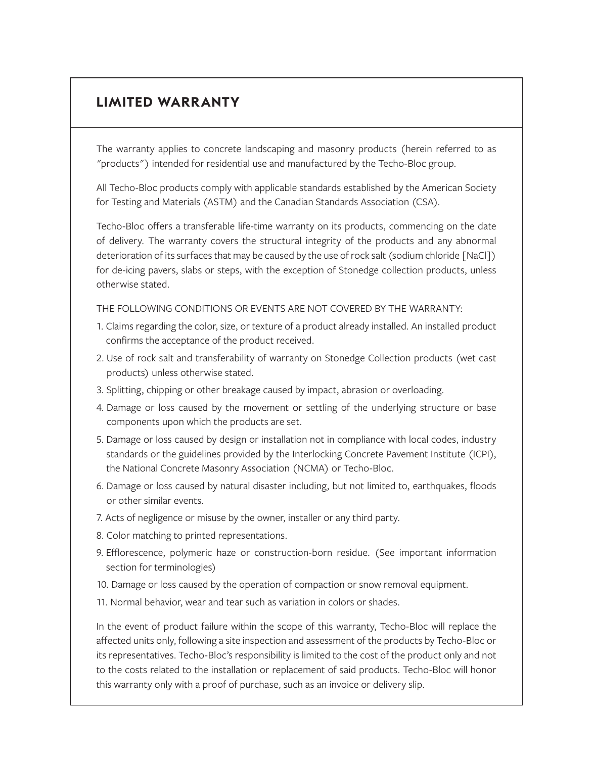# **LIMITED WARRANTY**

The warranty applies to concrete landscaping and masonry products (herein referred to as "products") intended for residential use and manufactured by the Techo-Bloc group.

All Techo-Bloc products comply with applicable standards established by the American Society for Testing and Materials (ASTM) and the Canadian Standards Association (CSA).

Techo-Bloc offers a transferable life-time warranty on its products, commencing on the date of delivery. The warranty covers the structural integrity of the products and any abnormal deterioration of its surfaces that may be caused by the use of rock salt (sodium chloride [NaCl]) for de-icing pavers, slabs or steps, with the exception of Stonedge collection products, unless otherwise stated.

THE FOLLOWING CONDITIONS OR EVENTS ARE NOT COVERED BY THE WARRANTY:

- 1. Claims regarding the color, size, or texture of a product already installed. An installed product confirms the acceptance of the product received.
- 2. Use of rock salt and transferability of warranty on Stonedge Collection products (wet cast products) unless otherwise stated.
- 3. Splitting, chipping or other breakage caused by impact, abrasion or overloading.
- 4. Damage or loss caused by the movement or settling of the underlying structure or base components upon which the products are set.
- 5. Damage or loss caused by design or installation not in compliance with local codes, industry standards or the guidelines provided by the Interlocking Concrete Pavement Institute (ICPI), the National Concrete Masonry Association (NCMA) or Techo-Bloc.
- 6. Damage or loss caused by natural disaster including, but not limited to, earthquakes, floods or other similar events.
- 7. Acts of negligence or misuse by the owner, installer or any third party.
- 8. Color matching to printed representations.
- 9. Efflorescence, polymeric haze or construction-born residue. (See important information section for terminologies)
- 10. Damage or loss caused by the operation of compaction or snow removal equipment.
- 11. Normal behavior, wear and tear such as variation in colors or shades.

In the event of product failure within the scope of this warranty, Techo-Bloc will replace the affected units only, following a site inspection and assessment of the products by Techo-Bloc or its representatives. Techo-Bloc's responsibility is limited to the cost of the product only and not to the costs related to the installation or replacement of said products. Techo-Bloc will honor this warranty only with a proof of purchase, such as an invoice or delivery slip.